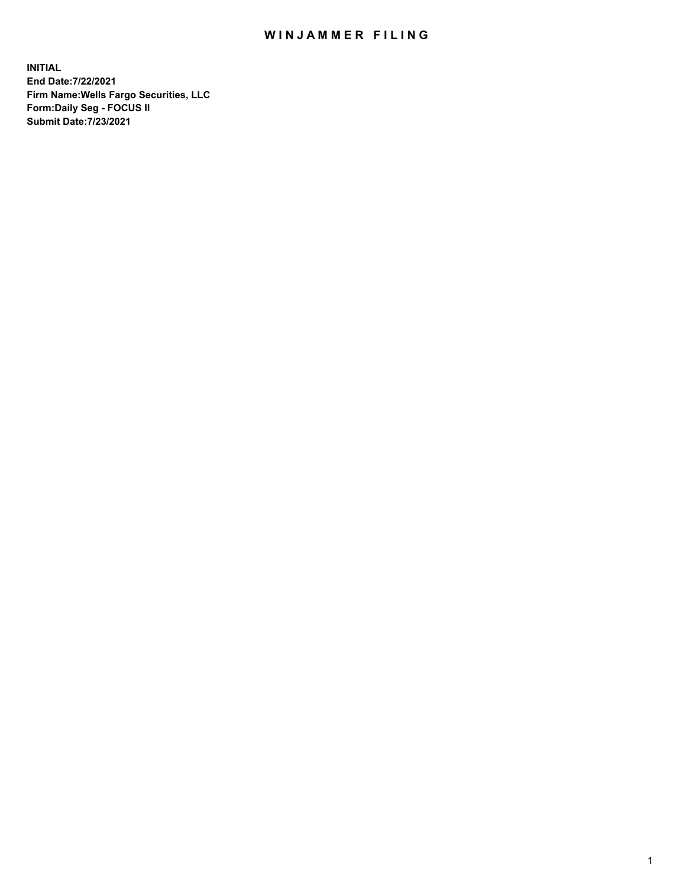## WIN JAMMER FILING

**INITIAL End Date:7/22/2021 Firm Name:Wells Fargo Securities, LLC Form:Daily Seg - FOCUS II Submit Date:7/23/2021**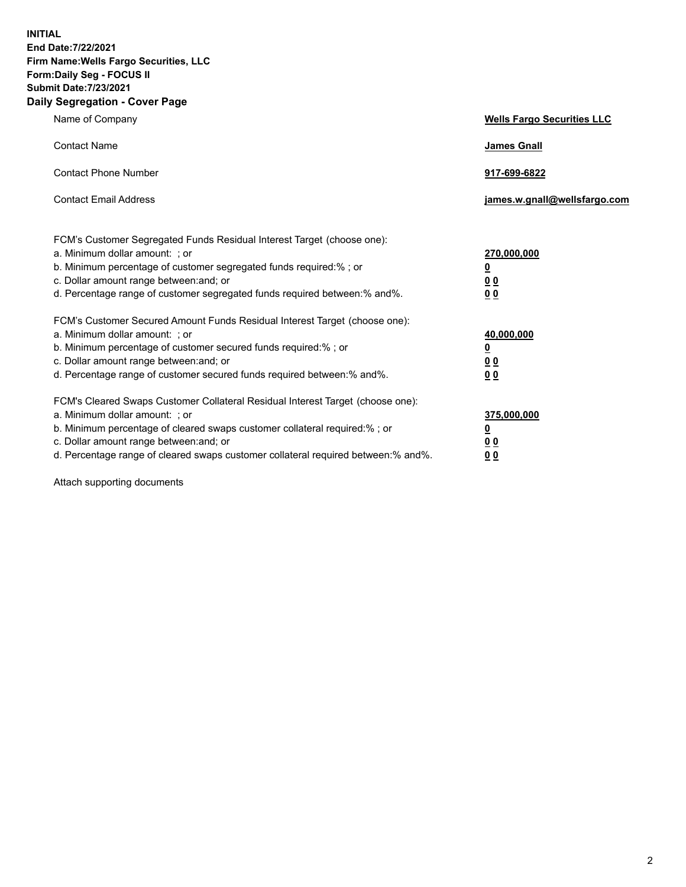**INITIAL End Date:7/22/2021 Firm Name:Wells Fargo Securities, LLC Form:Daily Seg - FOCUS II Submit Date:7/23/2021 Daily Segregation - Cover Page**

| Name of Company                                                                                                                                                                                                                                                                                                                | <b>Wells Fargo Securities LLC</b>                              |
|--------------------------------------------------------------------------------------------------------------------------------------------------------------------------------------------------------------------------------------------------------------------------------------------------------------------------------|----------------------------------------------------------------|
| <b>Contact Name</b>                                                                                                                                                                                                                                                                                                            | <b>James Gnall</b>                                             |
| <b>Contact Phone Number</b>                                                                                                                                                                                                                                                                                                    | 917-699-6822                                                   |
| <b>Contact Email Address</b>                                                                                                                                                                                                                                                                                                   | james.w.gnall@wellsfargo.com                                   |
| FCM's Customer Segregated Funds Residual Interest Target (choose one):<br>a. Minimum dollar amount: ; or<br>b. Minimum percentage of customer segregated funds required:% ; or<br>c. Dollar amount range between: and; or<br>d. Percentage range of customer segregated funds required between:% and%.                         | 270,000,000<br>$\overline{\mathbf{0}}$<br>0 <sub>0</sub><br>00 |
| FCM's Customer Secured Amount Funds Residual Interest Target (choose one):<br>a. Minimum dollar amount: ; or<br>b. Minimum percentage of customer secured funds required:% ; or<br>c. Dollar amount range between: and; or<br>d. Percentage range of customer secured funds required between:% and%.                           | 40,000,000<br><u>0</u><br>00<br>0 <sub>0</sub>                 |
| FCM's Cleared Swaps Customer Collateral Residual Interest Target (choose one):<br>a. Minimum dollar amount: ; or<br>b. Minimum percentage of cleared swaps customer collateral required:% ; or<br>c. Dollar amount range between: and; or<br>d. Percentage range of cleared swaps customer collateral required between:% and%. | 375,000,000<br><u>0</u><br>0 <sub>0</sub><br>00                |

Attach supporting documents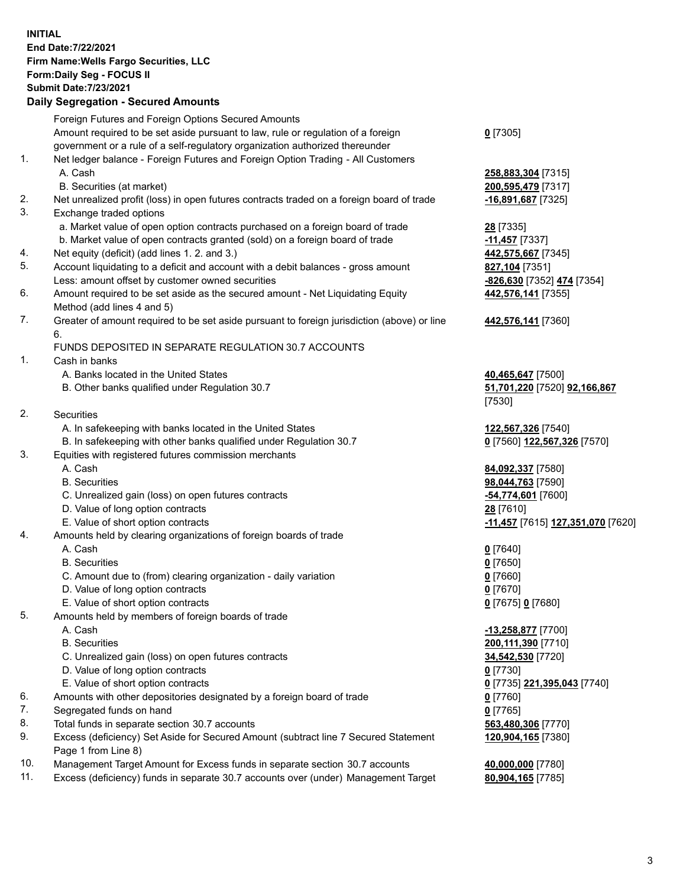**INITIAL End Date:7/22/2021 Firm Name:Wells Fargo Securities, LLC Form:Daily Seg - FOCUS II Submit Date:7/23/2021**

## **Daily Segregation - Secured Amounts**

|                 | Foreign Futures and Foreign Options Secured Amounts                                                          |                                   |
|-----------------|--------------------------------------------------------------------------------------------------------------|-----------------------------------|
|                 | Amount required to be set aside pursuant to law, rule or regulation of a foreign                             | $0$ [7305]                        |
|                 | government or a rule of a self-regulatory organization authorized thereunder                                 |                                   |
| 1.              | Net ledger balance - Foreign Futures and Foreign Option Trading - All Customers                              |                                   |
|                 | A. Cash                                                                                                      | 258,883,304 [7315]                |
|                 | B. Securities (at market)                                                                                    | 200,595,479 [7317]                |
| 2.              | Net unrealized profit (loss) in open futures contracts traded on a foreign board of trade                    | $-16,891,687$ [7325]              |
| 3.              | Exchange traded options                                                                                      |                                   |
|                 | a. Market value of open option contracts purchased on a foreign board of trade                               | 28 [7335]                         |
|                 | b. Market value of open contracts granted (sold) on a foreign board of trade                                 | $-11,457$ [7337]                  |
| 4.              | Net equity (deficit) (add lines 1. 2. and 3.)                                                                | 442,575,667 [7345]                |
| 5.              | Account liquidating to a deficit and account with a debit balances - gross amount                            | 827,104 [7351]                    |
|                 | Less: amount offset by customer owned securities                                                             |                                   |
| 6.              |                                                                                                              | -826,630 [7352] 474 [7354]        |
|                 | Amount required to be set aside as the secured amount - Net Liquidating Equity<br>Method (add lines 4 and 5) | 442,576,141 [7355]                |
| 7.              | Greater of amount required to be set aside pursuant to foreign jurisdiction (above) or line                  | 442,576,141 [7360]                |
|                 | 6.                                                                                                           |                                   |
|                 | FUNDS DEPOSITED IN SEPARATE REGULATION 30.7 ACCOUNTS                                                         |                                   |
| 1.              | Cash in banks                                                                                                |                                   |
|                 | A. Banks located in the United States                                                                        | 40,465,647 [7500]                 |
|                 | B. Other banks qualified under Regulation 30.7                                                               | 51,701,220 [7520] 92,166,867      |
|                 |                                                                                                              | [7530]                            |
| 2.              | Securities                                                                                                   |                                   |
|                 | A. In safekeeping with banks located in the United States                                                    | 122,567,326 [7540]                |
|                 | B. In safekeeping with other banks qualified under Regulation 30.7                                           | 0 [7560] 122,567,326 [7570]       |
| 3.              | Equities with registered futures commission merchants                                                        |                                   |
|                 | A. Cash                                                                                                      | 84,092,337 [7580]                 |
|                 | <b>B.</b> Securities                                                                                         | 98,044,763 [7590]                 |
|                 | C. Unrealized gain (loss) on open futures contracts                                                          | -54,774,601 [7600]                |
|                 | D. Value of long option contracts                                                                            | 28 [7610]                         |
|                 | E. Value of short option contracts                                                                           | -11,457 [7615] 127,351,070 [7620] |
| 4.              | Amounts held by clearing organizations of foreign boards of trade                                            |                                   |
|                 | A. Cash                                                                                                      | $0$ [7640]                        |
|                 | <b>B.</b> Securities                                                                                         | $0$ [7650]                        |
|                 | C. Amount due to (from) clearing organization - daily variation                                              | $0$ [7660]                        |
|                 | D. Value of long option contracts                                                                            | $0$ [7670]                        |
|                 | E. Value of short option contracts                                                                           | 0 [7675] 0 [7680]                 |
| 5.              | Amounts held by members of foreign boards of trade                                                           |                                   |
|                 | A. Cash                                                                                                      | $-13,258,877$ [7700]              |
|                 | <b>B.</b> Securities                                                                                         | 200,111,390 [7710]                |
|                 | C. Unrealized gain (loss) on open futures contracts                                                          | 34,542,530 [7720]                 |
|                 | D. Value of long option contracts                                                                            | $0$ [7730]                        |
|                 | E. Value of short option contracts                                                                           | 0 [7735] 221,395,043 [7740]       |
| 6.              | Amounts with other depositories designated by a foreign board of trade                                       | 0 [7760]                          |
| 7.              | Segregated funds on hand                                                                                     | $0$ [7765]                        |
| 8.              | Total funds in separate section 30.7 accounts                                                                | 563,480,306 [7770]                |
| 9.              | Excess (deficiency) Set Aside for Secured Amount (subtract line 7 Secured Statement                          | 120,904,165 [7380]                |
|                 | Page 1 from Line 8)                                                                                          |                                   |
| $\overline{10}$ |                                                                                                              | $A$ and and $T77001$              |

- 10. Management Target Amount for Excess funds in separate section 30.7 accounts **40,000,000** [7780]
- 11. Excess (deficiency) funds in separate 30.7 accounts over (under) Management Target **80,904,165** [7785]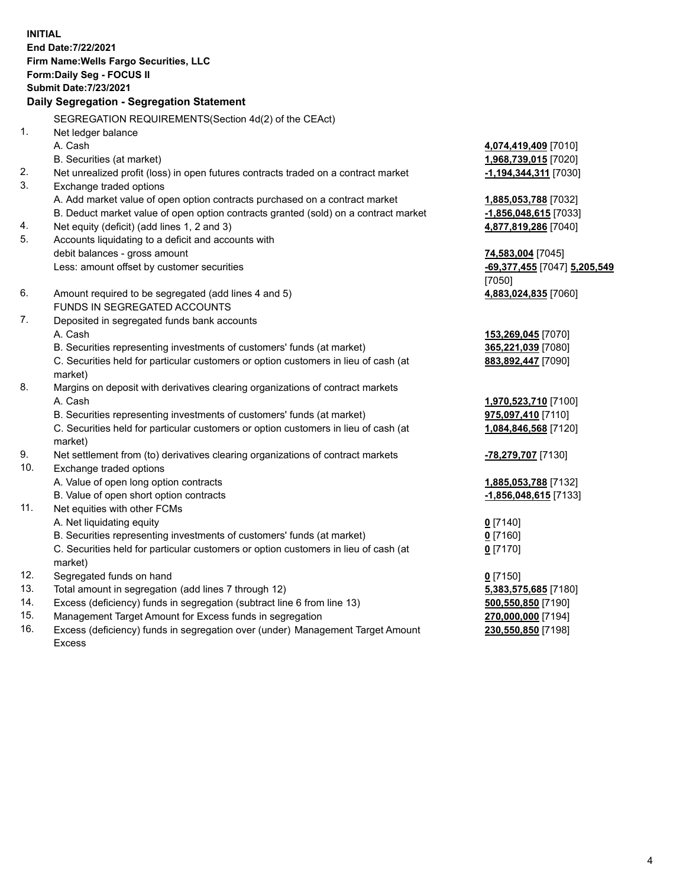**INITIAL End Date:7/22/2021 Firm Name:Wells Fargo Securities, LLC Form:Daily Seg - FOCUS II Submit Date:7/23/2021**

## **Daily Segregation - Segregation Statement**

SEGREGATION REQUIREMENTS(Section 4d(2) of the CEAct)

| 1.  |                                                                                     |                              |
|-----|-------------------------------------------------------------------------------------|------------------------------|
|     | Net ledger balance                                                                  |                              |
|     | A. Cash                                                                             | 4,074,419,409 [7010]         |
|     | B. Securities (at market)                                                           | 1,968,739,015 [7020]         |
| 2.  | Net unrealized profit (loss) in open futures contracts traded on a contract market  | -1,194,344,311 [7030]        |
| 3.  | Exchange traded options                                                             |                              |
|     | A. Add market value of open option contracts purchased on a contract market         | 1,885,053,788 [7032]         |
|     | B. Deduct market value of open option contracts granted (sold) on a contract market | $-1,856,048,615$ [7033]      |
| 4.  | Net equity (deficit) (add lines 1, 2 and 3)                                         | 4,877,819,286 [7040]         |
| 5.  | Accounts liquidating to a deficit and accounts with                                 |                              |
|     | debit balances - gross amount                                                       | 74,583,004 [7045]            |
|     | Less: amount offset by customer securities                                          | -69,377,455 [7047] 5,205,549 |
|     |                                                                                     | [7050]                       |
| 6.  | Amount required to be segregated (add lines 4 and 5)                                | 4,883,024,835 [7060]         |
|     | FUNDS IN SEGREGATED ACCOUNTS                                                        |                              |
| 7.  | Deposited in segregated funds bank accounts                                         |                              |
|     | A. Cash                                                                             | 153,269,045 [7070]           |
|     | B. Securities representing investments of customers' funds (at market)              | 365,221,039 [7080]           |
|     | C. Securities held for particular customers or option customers in lieu of cash (at | 883,892,447 [7090]           |
|     | market)                                                                             |                              |
| 8.  | Margins on deposit with derivatives clearing organizations of contract markets      |                              |
|     | A. Cash                                                                             | 1,970,523,710 [7100]         |
|     | B. Securities representing investments of customers' funds (at market)              | 975,097,410 [7110]           |
|     | C. Securities held for particular customers or option customers in lieu of cash (at | 1,084,846,568 [7120]         |
|     | market)                                                                             |                              |
| 9.  | Net settlement from (to) derivatives clearing organizations of contract markets     | -78,279,707 [7130]           |
| 10. | Exchange traded options                                                             |                              |
|     | A. Value of open long option contracts                                              | 1,885,053,788 [7132]         |
|     | B. Value of open short option contracts                                             | -1,856,048,615 [7133]        |
| 11. | Net equities with other FCMs                                                        |                              |
|     | A. Net liquidating equity                                                           | $0$ [7140]                   |
|     | B. Securities representing investments of customers' funds (at market)              | $0$ [7160]                   |
|     | C. Securities held for particular customers or option customers in lieu of cash (at | $0$ [7170]                   |
|     | market)                                                                             |                              |
| 12. | Segregated funds on hand                                                            | $0$ [7150]                   |
| 13. | Total amount in segregation (add lines 7 through 12)                                | 5,383,575,685 [7180]         |
| 14. | Excess (deficiency) funds in segregation (subtract line 6 from line 13)             | 500,550,850 [7190]           |
| 15. | Management Target Amount for Excess funds in segregation                            | 270,000,000 [7194]           |
| 16. | Excess (deficiency) funds in segregation over (under) Management Target Amount      | 230,550,850 [7198]           |
|     | Excess                                                                              |                              |
|     |                                                                                     |                              |